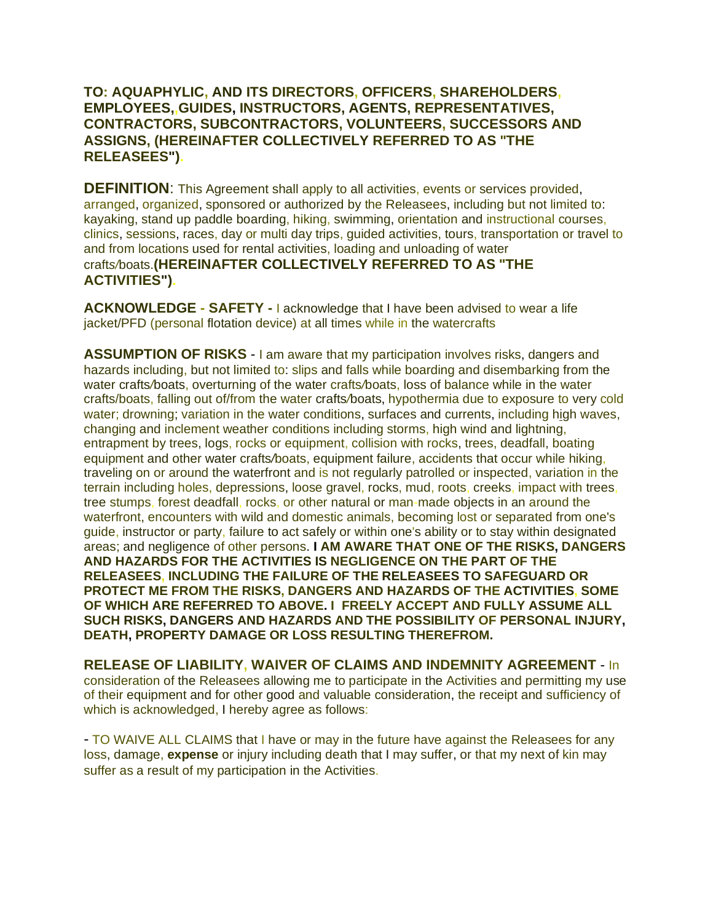## **TO: AQUAPHYLIC, AND ITS DIRECTORS, OFFICERS, SHAREHOLDERS, EMPLOYEES,,GUIDES, INSTRUCTORS, AGENTS, REPRESENTATIVES, CONTRACTORS, SUBCONTRACTORS, VOLUNTEERS, SUCCESSORS AND ASSIGNS, (HEREINAFTER COLLECTIVELY REFERRED TO AS "THE RELEASEES").**

**DEFINITION:** This Agreement shall apply to all activities, events or services provided, arranged, organized, sponsored or authorized by the Releasees, including but not limited to: kayaking, stand up paddle boarding, hiking, swimming, orientation and instructional courses, clinics, sessions, races, day or multi day trips, guided activities, tours, transportation or travel to and from locations used for rental activities, loading and unloading of water craft*s/*boats.**(HEREINAFTER COLLECTIVELY REFERRED TO AS "THE ACTIVITIES").**

**ACKNOWLEDGE - SAFETY -** I acknowledge that I have been advised to wear a life iacket/PFD (personal flotation device) at all times while in the watercrafts

**ASSUMPTION OF RISKS** - I am aware that my participation involves risks, dangers and hazards including, but not limited to: slips and falls while boarding and disembarking from the water crafts*/*boats, overturning of the water crafts*/*boats, loss of balance while in the water crafts/boats, falling out of/from the water crafts*/*boats, hypothermia due to exposure to very cold water; drowning; variation in the water conditions, surfaces and currents, including high waves, changing and inclement weather conditions including storms, high wind and lightning, entrapment by trees, logs, rocks or equipment, collision with rocks, trees, deadfall, boating equipment and other water crafts*/*boats, equipment failure, accidents that occur while hiking, traveling on or around the waterfront and is not regularly patrolled or inspected, variation in the terrain including holes, depressions, loose gravel, rocks, mud, roots, creeks, impact with trees, tree stumps, forest deadfall, rocks, or other natural or man-made objects in an around the waterfront, encounters with wild and domestic animals, becoming lost or separated from one's guide, instructor or party, failure to act safely or within one's ability or to stay within designated areas; and negligence of other persons. **I AM AWARE THAT ONE OF THE RISKS, DANGERS AND HAZARDS FOR THE ACTIVITIES IS NEGLIGENCE ON THE PART OF THE RELEASEES, INCLUDING THE FAILURE OF THE RELEASEES TO SAFEGUARD OR PROTECT ME FROM THE RISKS, DANGERS AND HAZARDS OF THE ACTIVITIES, SOME OF WHICH ARE REFERRED TO ABOVE. I FREELY ACCEPT AND FULLY ASSUME ALL SUCH RISKS, DANGERS AND HAZARDS AND THE POSSIBILITY OF PERSONAL INJURY, DEATH, PROPERTY DAMAGE OR LOSS RESULTING THEREFROM.**

**RELEASE OF LIABILITY, WAIVER OF CLAIMS AND INDEMNITY AGREEMENT** - In consideration of the Releasees allowing me to participate in the Activities and permitting my use of their equipment and for other good and valuable consideration, the receipt and sufficiency of which is acknowledged, I hereby agree as follows:

- TO WAIVE ALL CLAIMS that I have or may in the future have against the Releasees for any loss, damage, **expense** or injury including death that I may suffer, or that my next of kin may suffer as a result of my participation in the Activities.